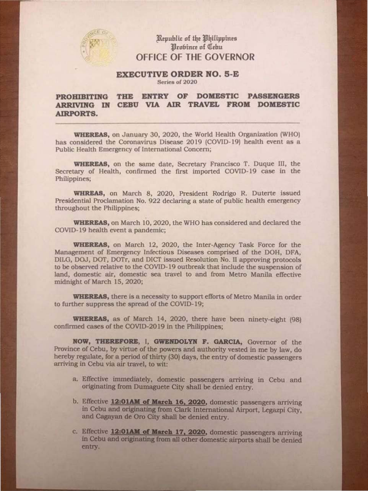## Kepublic of the Philippines Brobince of Cebu OFFICE OF THE GOVERNOR

## EXECUTIVE ORDER NO. 5-E Series of 2020

WHEREAS, on January 30, 2020, the World Health Organization (WHO) has considered the Coronavirus Disease 2019 (COVID-19) health event as a Public Health Emergency of International Concern;

## PROHIBITING THE ENTRY OF DOMESTIC PASSENGERS ARRIVING IN CEBU VIA AIR TRAVEL FROM DOMESTIC AIRPORTS.

WHREAS, on March 8, 2020, President Rodrigo R. Duterte issued Presidential Proclamation No. 922 declaring a state of public health emergency throughout the Philippines;

WHEREAS, on the same date, Secretary Francisco T. Duque lll, the Secretary of Health, confirmed the first imported COVJD-19 case in the Philippines;

WHEREAS, there is a necessity to support efforts of Metro Manila in order to further suppress the spread of the COVID-19;

WHEREAS, as of March 14, 2020, there have been ninety-eight (98) confirmed cases of the COVID-2019 in the Philippines;

WHEREAS, on March 10, 2020, the WHO has considered and declared the COVID-19 health event a pandemic;

Province of Cebu, by virtue of the powers and authority vested in me by law, do hereby regulate, for a period of thirty (30) days, the entry of domestic passengers arriving in Cebu via air travel, to wit:

- a. Effective immediately, domestic passengers arriving in Cebu and originating from Dumaguete City shall be denied entry.
- b. Effective 12:01AM of March 16, 2020, domestic passengers arriving in Cebu and originating from Clark International Airport, Legazpi City, and Cagayan de Oro City shall be denied entry.
- c. Effective 12:01AM of March 17, 2020, domestic passengers arriving in Cebu and originating from all other domestic airports shall be denied entry.

WHEREAS, on March 12, 2020, the Inter-Agency Task Force for the Management of Emergency Infectious Diseases comprised of the DOH, DFA, DILG, DOJ, DOT, DOTr, and DICT issued Resolution No. U approving protocols to be observed relative to the COVID-19 outbreak that include the suspension of land, domestic air, domestic sea travel to and from Metro Manila effective midnight of March 15, 2020;

NOW, THEREFORE, I, GWENDOLYN F. GARCIA, Governor of the